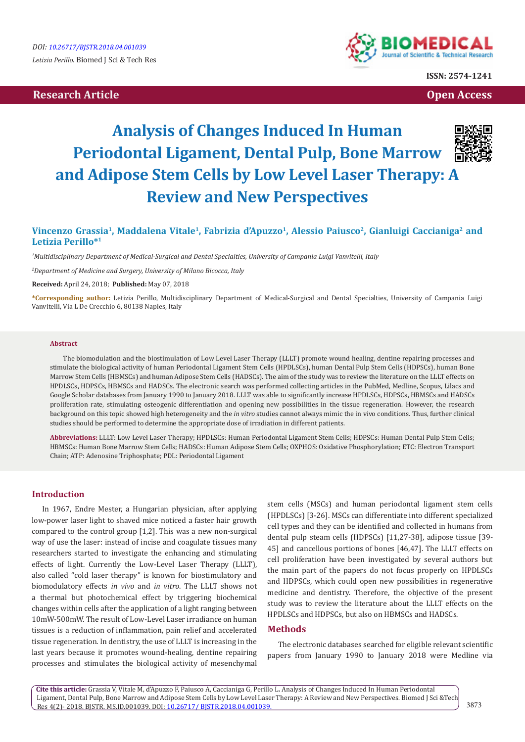# **Research Article Open Access Contract Article Open Access Open Access Open Access**



**ISSN: 2574-1241**

# **Analysis of Changes Induced In Human Periodontal Ligament, Dental Pulp, Bone Marrow and Adipose Stem Cells by Low Level Laser Therapy: A Review and New Perspectives**



## Vincenzo Grassia<sup>1</sup>, Maddalena Vitale<sup>1</sup>, Fabrizia d'Apuzzo<sup>1</sup>, Alessio Paiusco<sup>2</sup>, Gianluigi Caccianiga<sup>2</sup> and **Letizia Perillo\*1**

*1 Multidisciplinary Department of Medical-Surgical and Dental Specialties, University of Campania Luigi Vanvitelli, Italy*

*2 Department of Medicine and Surgery, University of Milano Bicocca, Italy*

**Received:** April 24, 2018; **Published:** May 07, 2018

**\*Corresponding author:** Letizia Perillo, Multidisciplinary Department of Medical-Surgical and Dental Specialties, University of Campania Luigi Vanvitelli, Via L De Crecchio 6, 80138 Naples, Italy

#### **Abstract**

The biomodulation and the biostimulation of Low Level Laser Therapy (LLLT) promote wound healing, dentine repairing processes and stimulate the biological activity of human Periodontal Ligament Stem Cells (HPDLSCs), human Dental Pulp Stem Cells (HDPSCs), human Bone Marrow Stem Cells (HBMSCs) and human Adipose Stem Cells (HADSCs). The aim of the study was to review the literature on the LLLT effects on HPDLSCs, HDPSCs, HBMSCs and HADSCs. The electronic search was performed collecting articles in the PubMed, Medline, Scopus, Lilacs and Google Scholar databases from January 1990 to January 2018. LLLT was able to significantly increase HPDLSCs, HDPSCs, HBMSCs and HADSCs proliferation rate, stimulating osteogenic differentiation and opening new possibilities in the tissue regeneration. However, the research background on this topic showed high heterogeneity and the *in vitro* studies cannot always mimic the in vivo conditions. Thus, further clinical studies should be performed to determine the appropriate dose of irradiation in different patients.

**Abbreviations:** LLLT: Low Level Laser Therapy; HPDLSCs: Human Periodontal Ligament Stem Cells; HDPSCs: Human Dental Pulp Stem Cells; HBMSCs: Human Bone Marrow Stem Cells; HADSCs: Human Adipose Stem Cells; OXPHOS: Oxidative Phosphorylation; ETC: Electron Transport Chain; ATP: Adenosine Triphosphate; PDL: Periodontal Ligament

## **Introduction**

In 1967, Endre Mester, a Hungarian physician, after applying low-power laser light to shaved mice noticed a faster hair growth compared to the control group [1,2]. This was a new non-surgical way of use the laser: instead of incise and coagulate tissues many researchers started to investigate the enhancing and stimulating effects of light. Currently the Low-Level Laser Therapy (LLLT), also called "cold laser therapy" is known for biostimulatory and biomodulatory effects *in vivo* and *in vitro*. The LLLT shows not a thermal but photochemical effect by triggering biochemical changes within cells after the application of a light ranging between 10mW-500mW. The result of Low-Level Laser irradiance on human tissues is a reduction of inflammation, pain relief and accelerated tissue regeneration. In dentistry, the use of LLLT is increasing in the last years because it promotes wound-healing, dentine repairing processes and stimulates the biological activity of mesenchymal

stem cells (MSCs) and human periodontal ligament stem cells (HPDLSCs) [3-26]. MSCs can differentiate into different specialized cell types and they can be identified and collected in humans from dental pulp steam cells (HDPSCs) [11,27-38], adipose tissue [39- 45] and cancellous portions of bones [46,47]. The LLLT effects on cell proliferation have been investigated by several authors but the main part of the papers do not focus properly on HPDLSCs and HDPSCs, which could open new possibilities in regenerative medicine and dentistry. Therefore, the objective of the present study was to review the literature about the LLLT effects on the HPDLSCs and HDPSCs, but also on HBMSCs and HADSCs.

## **Methods**

The electronic databases searched for eligible relevant scientific papers from January 1990 to January 2018 were Medline via

**Cite this article:** Grassia V, Vitale M, d'Apuzzo F, Paiusco A, Caccianiga G, Perillo L**.** Analysis of Changes Induced In Human Periodontal Ligament, Dental Pulp, Bone Marrow and Adipose Stem Cells by Low Level Laser Therapy: A Review and New Perspectives. Biomed J Sci &Tech Res 4(2)- 2018. BJSTR. MS.ID.001039. DOI: [10.26717/ BJSTR.2018.04.001039.](http://dx.doi.org/10.26717/BJSTR.2018.04.001039)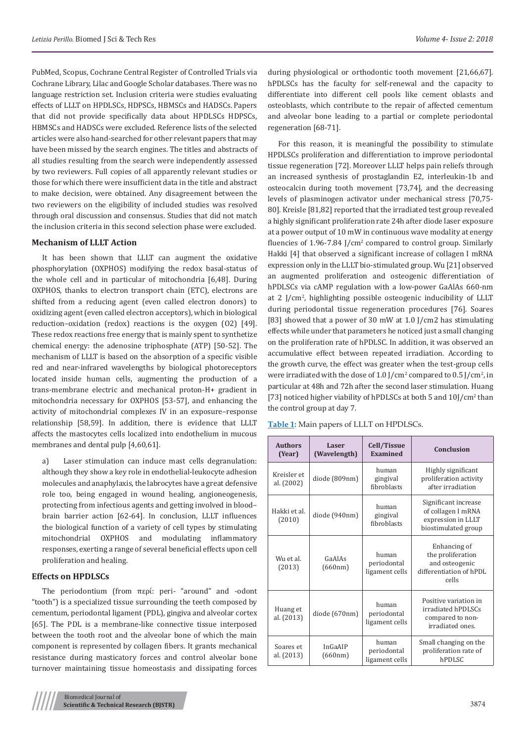PubMed, Scopus, Cochrane Central Register of Controlled Trials via Cochrane Library, Lilac and Google Scholar databases. There was no language restriction set. Inclusion criteria were studies evaluating effects of LLLT on HPDLSCs, HDPSCs, HBMSCs and HADSCs. Papers that did not provide specifically data about HPDLSCs HDPSCs, HBMSCs and HADSCs were excluded. Reference lists of the selected articles were also hand-searched for other relevant papers that may have been missed by the search engines. The titles and abstracts of all studies resulting from the search were independently assessed by two reviewers. Full copies of all apparently relevant studies or those for which there were insufficient data in the title and abstract to make decision, were obtained. Any disagreement between the two reviewers on the eligibility of included studies was resolved through oral discussion and consensus. Studies that did not match the inclusion criteria in this second selection phase were excluded.

#### **Mechanism of LLLT Action**

It has been shown that LLLT can augment the oxidative phosphorylation (OXPHOS) modifying the redox basal-status of the whole cell and in particular of mitochondria [6,48]. During OXPHOS, thanks to electron transport chain (ETC), electrons are shifted from a reducing agent (even called electron donors) to oxidizing agent (even called electron acceptors), which in biological reduction–oxidation (redox) reactions is the oxygen (O2) [49]. These redox reactions free energy that is mainly spent to synthetize chemical energy: the adenosine triphosphate (ATP) [50-52]. The mechanism of LLLT is based on the absorption of a specific visible red and near-infrared wavelengths by biological photoreceptors located inside human cells, augmenting the production of a trans-membrane electric and mechanical proton-H+ gradient in mitochondria necessary for OXPHOS [53-57], and enhancing the activity of mitochondrial complexes IV in an exposure–response relationship [58,59]. In addition, there is evidence that LLLT affects the mastocytes cells localized into endothelium in mucous membranes and dental pulp [4,60,61].

a) Laser stimulation can induce mast cells degranulation: although they show a key role in endothelial-leukocyte adhesion molecules and anaphylaxis, the labrocytes have a great defensive role too, being engaged in wound healing, angioneogenesis, protecting from infectious agents and getting involved in blood– brain barrier action [62-64]. In conclusion, LLLT influences the biological function of a variety of cell types by stimulating mitochondrial OXPHOS and modulating inflammatory responses, exerting a range of several beneficial effects upon cell proliferation and healing.

## **Effects on HPDLSCs**

The periodontium (from περί: peri- "around" and -odont "tooth") is a specialized tissue surrounding the teeth composed by cementum, periodontal ligament (PDL), gingiva and alveolar cortex [65]. The PDL is a membrane-like connective tissue interposed between the tooth root and the alveolar bone of which the main component is represented by collagen fibers. It grants mechanical resistance during masticatory forces and control alveolar bone turnover maintaining tissue homeostasis and dissipating forces during physiological or orthodontic tooth movement [21,66,67]. hPDLSCs has the faculty for self-renewal and the capacity to differentiate into different cell pools like cement oblasts and osteoblasts, which contribute to the repair of affected cementum and alveolar bone leading to a partial or complete periodontal regeneration [68-71].

For this reason, it is meaningful the possibility to stimulate HPDLSCs proliferation and differentiation to improve periodontal tissue regeneration [72]. Moreover LLLT helps pain reliefs through an increased synthesis of prostaglandin E2, interleukin-1b and osteocalcin during tooth movement [73,74], and the decreasing levels of plasminogen activator under mechanical stress [70,75- 80]. Kreisle [81,82] reported that the irradiated test group revealed a highly significant proliferation rate 24h after diode laser exposure at a power output of 10 mW in continuous wave modality at energy fluencies of 1.96-7.84 J/cm<sup>2</sup> compared to control group. Similarly Hakki [4] that observed a significant increase of collagen I mRNA expression only in the LLLT bio-stimulated group. Wu [21] observed an augmented proliferation and osteogenic differentiation of hPDLSCs via cAMP regulation with a low-power GaAlAs 660-nm at 2 J/cm2 , highlighting possible osteogenic inducibility of LLLT during periodontal tissue regeneration procedures [76]. Soares [83] showed that a power of 30 mW at 1.0 J/cm2 has stimulating effects while under that parameters he noticed just a small changing on the proliferation rate of hPDLSC. In addition, it was observed an accumulative effect between repeated irradiation. According to the growth curve, the effect was greater when the test-group cells were irradiated with the dose of  $1.0$  J/cm<sup>2</sup> compared to  $0.5$  J/cm<sup>2</sup>, in particular at 48h and 72h after the second laser stimulation. Huang [73] noticed higher viability of hPDLSCs at both 5 and 10J/cm<sup>2</sup> than the control group at day 7.

| <b>Authors</b><br>(Year)  | Laser<br>(Wavelength) | Cell/Tissue<br>Examined                | Conclusion                                                                              |
|---------------------------|-----------------------|----------------------------------------|-----------------------------------------------------------------------------------------|
| Kreisler et<br>al. (2002) | diode (809nm)         | human<br>gingiyal<br>fibroblasts       | Highly significant<br>proliferation activity<br>after irradiation                       |
| Hakki et al.<br>(2010)    | diode (940nm)         | human<br>gingival<br>fibroblasts       | Significant increase<br>of collagen I mRNA<br>expression in LLLT<br>biostimulated group |
| Wu et al.<br>(2013)       | GaAlAs<br>(660nm)     | human<br>periodontal<br>ligament cells | Enhancing of<br>the proliferation<br>and osteogenic<br>differentiation of hPDL<br>cells |
| Huang et<br>al. (2013)    | diode (670nm)         | human<br>periodontal<br>ligament cells | Positive variation in<br>irradiated hPDLSCs<br>compared to non-<br>irradiated ones.     |
| Soares et<br>al. (2013)   | InGaAIP<br>(660nm)    | human<br>periodontal<br>ligament cells | Small changing on the<br>proliferation rate of<br>hPDLSC                                |

**Table 1:** Main papers of LLLT on HPDLSCs.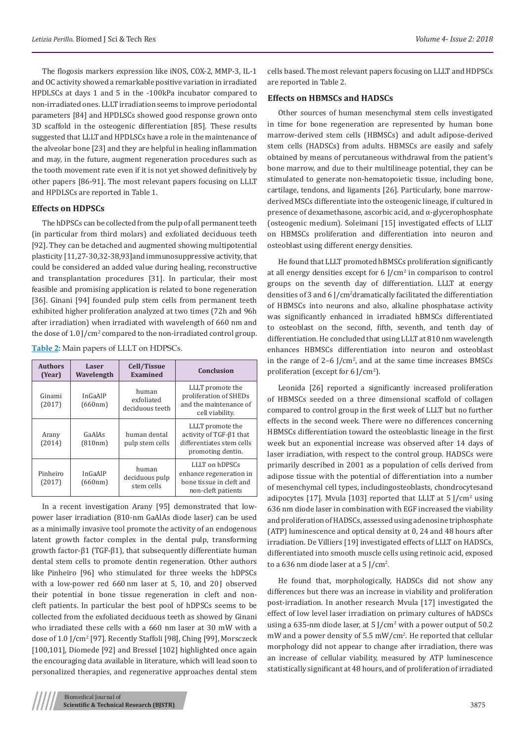The flogosis markers expression like iNOS, COX-2, MMP-3, IL-1 and OC activity showed a remarkable positive variation in irradiated HPDLSCs at days 1 and 5 in the -100kPa incubator compared to non-irradiated ones. LLLT irradiation seems to improve periodontal parameters [84] and HPDLSCs showed good response grown onto 3D scaffold in the osteogenic differentiation [85]. These results suggested that LLLT and HPDLSCs have a role in the maintenance of the alveolar bone [23] and they are helpful in healing inflammation and may, in the future, augment regeneration procedures such as the tooth movement rate even if it is not yet showed definitively by other papers [86-91]. The most relevant papers focusing on LLLT and HPDLSCs are reported in Table 1.

## **Effects on HDPSCs**

The hDPSCs can be collected from the pulp of all permanent teeth (in particular from third molars) and exfoliated deciduous teeth [92]. They can be detached and augmented showing multipotential plasticity [11,27-30,32-38,93]and immunosuppressive activity, that could be considered an added value during healing, reconstructive and transplantation procedures [31]. In particular, their most feasible and promising application is related to bone regeneration [36]. Ginani [94] founded pulp stem cells from permanent teeth exhibited higher proliferation analyzed at two times (72h and 96h after irradiation) when irradiated with wavelength of 660 nm and the dose of 1.0 J/cm<sup>2</sup> compared to the non-irradiated control group.

**Table 2:** Main papers of LLLT on HDPSCs.

| <b>Authors</b><br>(Year) | Laser<br>Wavelength | Cell/Tissue<br><b>Examined</b>         | Conclusion                                                                                    |
|--------------------------|---------------------|----------------------------------------|-----------------------------------------------------------------------------------------------|
| Ginami<br>(2017)         | InGaAlP<br>(660nm)  | human<br>exfoliated<br>deciduous teeth | LLLT promote the<br>proliferation of SHEDs<br>and the maintenance of<br>cell viability.       |
| Arany<br>(2014)          | GaAlAs<br>(810nm)   | human dental<br>pulp stem cells        | LLLT promote the<br>activity of TGF-ß1 that<br>differentiates stem cells<br>promoting dentin. |
| Pinheiro<br>(2017)       | InGaAlP<br>(660nm)  | human<br>deciduous pulp<br>stem cells  | LLLT on hDPSCs<br>enhance regeneration in<br>bone tissue in cleft and<br>non-cleft patients   |

In a recent investigation Arany [95] demonstrated that lowpower laser irradiation (810-nm GaAlAs diode laser) can be used as a minimally invasive tool promote the activity of an endogenous latent growth factor complex in the dental pulp, transforming growth factor-β1 (TGF-β1), that subsequently differentiate human dental stem cells to promote dentin regeneration. Other authors like Pinheiro [96] who stimulated for three weeks the hDPSCs with a low-power red 660 nm laser at 5, 10, and 20 J observed their potential in bone tissue regeneration in cleft and noncleft patients. In particular the best pool of hDPSCs seems to be collected from the exfoliated deciduous teeth as showed by Ginani who irradiated these cells with a 660 nm laser at 30 mW with a dose of 1.0 J/cm2 [97]. Recently Staffoli [98], Ching [99], Morsczeck [100,101], Diomede [92] and Bressel [102] highlighted once again the encouraging data available in literature, which will lead soon to personalized therapies, and regenerative approaches dental stem

cells based. The most relevant papers focusing on LLLT and HDPSCs are reported in Table 2.

## **Effects on HBMSCs and HADSCs**

Other sources of human mesenchymal stem cells investigated in time for bone regeneration are represented by human bone marrow-derived stem cells (HBMSCs) and adult adipose-derived stem cells (HADSCs) from adults. HBMSCs are easily and safely obtained by means of percutaneous withdrawal from the patient's bone marrow, and due to their multilineage potential, they can be stimulated to generate non-hematopoietic tissue, including bone, cartilage, tendons, and ligaments [26]. Particularly, bone marrowderived MSCs differentiate into the osteogenic lineage, if cultured in presence of dexamethasone, ascorbic acid, and α-glycerophosphate (osteogenic medium). Soleimani [15] investigated effects of LLLT on HBMSCs proliferation and differentiation into neuron and osteoblast using different energy densities.

He found that LLLT promoted hBMSCs proliferation significantly at all energy densities except for 6 J/cm<sup>2</sup> in comparison to control groups on the seventh day of differentiation. LLLT at energy densities of 3 and 6 J/cm2 dramatically facilitated the differentiation of HBMSCs into neurons and also, alkaline phosphatase activity was significantly enhanced in irradiated hBMSCs differentiated to osteoblast on the second, fifth, seventh, and tenth day of differentiation. He concluded that using LLLT at 810 nm wavelength enhances HBMSCs differentiation into neuron and osteoblast in the range of  $2-6$  J/cm<sup>2</sup>, and at the same time increases BMSCs proliferation (except for 6 J/cm<sup>2</sup>).

Leonida [26] reported a significantly increased proliferation of HBMSCs seeded on a three dimensional scaffold of collagen compared to control group in the first week of LLLT but no further effects in the second week. There were no differences concerning HBMSCs differentiation toward the osteoblastic lineage in the first week but an exponential increase was observed after 14 days of laser irradiation, with respect to the control group. HADSCs were primarily described in 2001 as a population of cells derived from adipose tissue with the potential of differentiation into a number of mesenchymal cell types, includingosteoblasts, chondrocytesand adipocytes [17]. Mvula [103] reported that LLLT at 5 J/cm<sup>2</sup> using 636 nm diode laser in combination with EGF increased the viability and proliferation of HADSCs, assessed using adenosine triphosphate (ATP) luminescence and optical density at 0, 24 and 48 hours after irradiation. De Villiers [19] investigated effects of LLLT on HADSCs, differentiated into smooth muscle cells using retinoic acid, exposed to a 636 nm diode laser at a 5 J/cm<sup>2</sup>.

He found that, morphologically, HADSCs did not show any differences but there was an increase in viability and proliferation post-irradiation. In another research Mvula [17] investigated the effect of low level laser irradiation on primary cultures of hADSCs using a 635-nm diode laser, at 5 J/cm<sup>2</sup> with a power output of 50.2 mW and a power density of 5.5 mW/cm<sup>2</sup> . He reported that cellular morphology did not appear to change after irradiation, there was an increase of cellular viability, measured by ATP luminescence statistically significant at 48 hours, and of proliferation of irradiated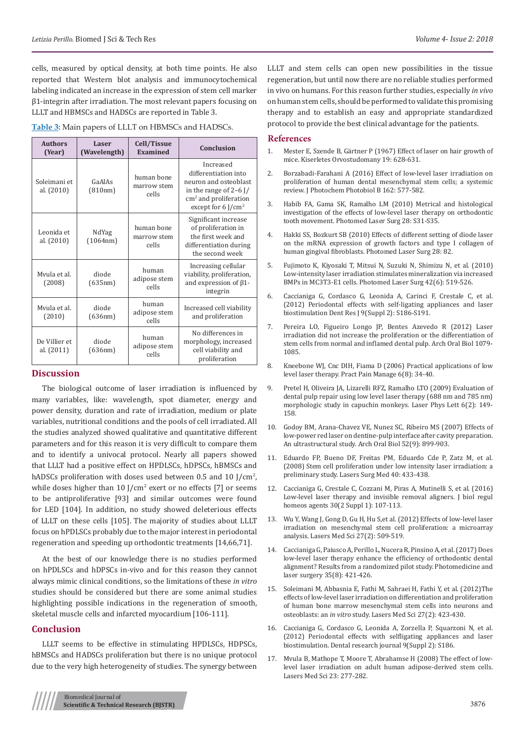cells, measured by optical density, at both time points. He also reported that Western blot analysis and immunocytochemical labeling indicated an increase in the expression of stem cell marker β1-integrin after irradiation. The most relevant papers focusing on LLLT and HBMSCs and HADSCs are reported in Table 3.

|  |  |  |  |  |  |  | Table 3: Main papers of LLLT on HBMSCs and HADSCs. |  |  |  |  |
|--|--|--|--|--|--|--|----------------------------------------------------|--|--|--|--|
|--|--|--|--|--|--|--|----------------------------------------------------|--|--|--|--|

| <b>Authors</b><br>(Year)    | Laser<br>(Wavelength) | Cell/Tissue<br>Examined            | Conclusion                                                                                                                                                    |  |
|-----------------------------|-----------------------|------------------------------------|---------------------------------------------------------------------------------------------------------------------------------------------------------------|--|
| Soleimani et<br>al. (2010)  | GaAlAs<br>(810nm)     | human bone<br>marrow stem<br>cells | Increased<br>differentiation into<br>neuron and osteoblast<br>in the range of $2-6$ J/<br>$\text{cm}^2$ and proliferation<br>except for $6$ J/cm <sup>2</sup> |  |
| Leonida et<br>al. (2010)    | NdYag<br>(1064nm)     | human bone<br>marrow stem<br>cells | Significant increase<br>of proliferation in<br>the first week and<br>differentiation during<br>the second week                                                |  |
| Myula et al.<br>(2008)      | diode<br>(635nm)      | human<br>adipose stem<br>cells     | Increasing cellular<br>viability, proliferation,<br>and expression of $\beta$ 1-<br>integrin                                                                  |  |
| Myula et al.<br>(2010)      | diode<br>(636nm)      | human<br>adipose stem<br>cells     | Increased cell viability<br>and proliferation                                                                                                                 |  |
| De Villier et<br>al. (2011) | diode<br>(636nm)      | human<br>adipose stem<br>cells     | No differences in<br>morphology, increased<br>cell viability and<br>proliferation                                                                             |  |

## **Discussion**

The biological outcome of laser irradiation is influenced by many variables, like: wavelength, spot diameter, energy and power density, duration and rate of irradiation, medium or plate variables, nutritional conditions and the pools of cell irradiated. All the studies analyzed showed qualitative and quantitative different parameters and for this reason it is very difficult to compare them and to identify a univocal protocol. Nearly all papers showed that LLLT had a positive effect on HPDLSCs, hDPSCs, hBMSCs and hADSCs proliferation with doses used between 0.5 and 10 J/cm<sup>2</sup>, while doses higher than  $10$  J/cm<sup>2</sup> exert or no effects [7] or seems to be antiproliferative [93] and similar outcomes were found for LED [104]. In addition, no study showed deleterious effects of LLLT on these cells [105]. The majority of studies about LLLT focus on hPDLSCs probably due to the major interest in periodontal regeneration and speeding up orthodontic treatments [14,66,71].

At the best of our knowledge there is no studies performed on hPDLSCs and hDPSCs in-vivo and for this reason they cannot always mimic clinical conditions, so the limitations of these *in vitro* studies should be considered but there are some animal studies highlighting possible indications in the regeneration of smooth, skeletal muscle cells and infarcted myocardium [106-111].

## **Conclusion**

LLLT seems to be effective in stimulating HPDLSCs, HDPSCs, hBMSCs and HADSCs proliferation but there is no unique protocol due to the very high heterogeneity of studies. The synergy between

LLLT and stem cells can open new possibilities in the tissue regeneration, but until now there are no reliable studies performed in vivo on humans. For this reason further studies, especially *in vivo*  on human stem cells, should be performed to validate this promising therapy and to establish an easy and appropriate standardized protocol to provide the best clinical advantage for the patients.

#### **References**

- 1. [Mester E, Szende B, Gärtner P \(1967\) Effect of laser on hair growth of](https://www.ncbi.nlm.nih.gov/pubmed/5732466) [mice. Kiserletes Orvostudomany 19: 628-631.](https://www.ncbi.nlm.nih.gov/pubmed/5732466)
- 2. [Borzabadi-Farahani A \(2016\) Effect of low-level laser irradiation on](https://www.ncbi.nlm.nih.gov/pubmed/27475781) [proliferation of human dental mesenchymal stem cells; a systemic](https://www.ncbi.nlm.nih.gov/pubmed/27475781) [review. J Photochem Photobiol B 162: 577-582.](https://www.ncbi.nlm.nih.gov/pubmed/27475781)
- 3. Habib FA, Gama SK, Ramalho LM (2010) Metrical and histological investigation of the effects of low-level laser therapy on orthodontic tooth movement. Photomed Laser Surg 28: S31-S35.
- 4. Hakki SS, Bozkurt SB (2010) Effects of different setting of diode laser on the mRNA expression of growth factors and type I collagen of human gingival fibroblasts. Photomed Laser Surg 28: 82.
- 5. [Fujimoto K, Kiyosaki T, Mitsui N, Suzuki N, Shimizu N, et al. \(2010\)](https://www.ncbi.nlm.nih.gov/pubmed/20662028) [Low-intensity laser irradiation stimulates mineralization via increased](https://www.ncbi.nlm.nih.gov/pubmed/20662028) [BMPs in MC3T3-E1 cells. Photomed Laser Surg 42\(6\): 519-526.](https://www.ncbi.nlm.nih.gov/pubmed/20662028)
- 6. [Caccianiga G, Cordasco G, Leonida A, Carinci F, Crestale C, et al.](https://www.ncbi.nlm.nih.gov/pubmed/23814581) [\(2012\) Periodontal effects with self-ligating appliances and laser](https://www.ncbi.nlm.nih.gov/pubmed/23814581) [biostimulation Dent Res J 9\(Suppl 2\): S186-S191.](https://www.ncbi.nlm.nih.gov/pubmed/23814581)
- 7. [Pereira LO, Figueiro Longo JP, Bentes Azevedo R \(2012\) Laser](https://www.ncbi.nlm.nih.gov/pubmed/22469390) [irradiation did not increase the proliferation or the differentiation of](https://www.ncbi.nlm.nih.gov/pubmed/22469390) [stem cells from normal and inflamed dental pulp. Arch Oral Biol 1079-](https://www.ncbi.nlm.nih.gov/pubmed/22469390) [1085.](https://www.ncbi.nlm.nih.gov/pubmed/22469390)
- 8. [Kneebone WJ, Cnc DIH, Fiama D \(2006\) Practical applications of low](https://www.practicalpainmanagement.com/treatments/complementary/lasers/practical-applications-low-level-laser-therapy) [level laser therapy. Pract Pain Manage 6\(8\): 34-40.](https://www.practicalpainmanagement.com/treatments/complementary/lasers/practical-applications-low-level-laser-therapy)
- 9. [Pretel H, Oliveira JA, Lizarelli RFZ, Ramalho LTO \(2009\) Evaluation of](https://onlinelibrary.wiley.com/doi/abs/10.1002/lapl.200810101) [dental pulp repair using low level laser therapy \(688 nm and 785 nm\)](https://onlinelibrary.wiley.com/doi/abs/10.1002/lapl.200810101) [morphologic study in capuchin monkeys. Laser Phys Lett 6\(2\): 149-](https://onlinelibrary.wiley.com/doi/abs/10.1002/lapl.200810101) [158.](https://onlinelibrary.wiley.com/doi/abs/10.1002/lapl.200810101)
- 10. [Godoy BM, Arana-Chavez VE, Nunez SC, Ribeiro MS \(2007\) Effects of](https://www.ncbi.nlm.nih.gov/pubmed/17485070) [low-power red laser on dentine-pulp interface after cavity preparation.](https://www.ncbi.nlm.nih.gov/pubmed/17485070) [An ultrastructural study. Arch Oral Biol 52\(9\): 899-903.](https://www.ncbi.nlm.nih.gov/pubmed/17485070)
- 11. [Eduardo FP, Bueno DF, Freitas PM, Eduardo Cde P, Zatz M, et al.](https://www.ncbi.nlm.nih.gov/pubmed/18649378) [\(2008\) Stem cell proliferation under low intensity laser irradiation: a](https://www.ncbi.nlm.nih.gov/pubmed/18649378) [preliminary study. Lasers Surg Med 40: 433-438.](https://www.ncbi.nlm.nih.gov/pubmed/18649378)
- 12. [Caccianiga G, Crestale C, Cozzani M, Piras A, Mutinelli S, et al. \(2016\)](https://www.ncbi.nlm.nih.gov/pubmed/27469556) [Low-level laser therapy and invisible removal aligners. J biol regul](https://www.ncbi.nlm.nih.gov/pubmed/27469556) [homeos agents 30\(2 Suppl 1\): 107-113.](https://www.ncbi.nlm.nih.gov/pubmed/27469556)
- 13. [Wu Y, Wang J, Gong D, Gu H, Hu S,et al. \(2012\) Effects of low-level laser](https://www.ncbi.nlm.nih.gov/pubmed/21956279) [irradiation on mesenchymal stem cell proliferation: a microarray](https://www.ncbi.nlm.nih.gov/pubmed/21956279) [analysis. Lasers Med Sci 27\(2\): 509-519.](https://www.ncbi.nlm.nih.gov/pubmed/21956279)
- 14. [Caccianiga G, Paiusco A, Perillo L, Nucera R, Pinsino A, et al. \(2017\) Does](https://www.ncbi.nlm.nih.gov/pubmed/28253073) [low-level laser therapy enhance the efficiency of orthodontic dental](https://www.ncbi.nlm.nih.gov/pubmed/28253073) [alignment? Results from a randomized pilot study. Photomedicine and](https://www.ncbi.nlm.nih.gov/pubmed/28253073) [laser surgery 35\(8\): 421-426.](https://www.ncbi.nlm.nih.gov/pubmed/28253073)
- 15. [Soleimani M, Abbasnia E, Fathi M, Sahraei H, Fathi Y, et al. \(2012\)The](https://www.ncbi.nlm.nih.gov/pubmed/21597948) [effects of low-level laser irradiation on differentiation and proliferation](https://www.ncbi.nlm.nih.gov/pubmed/21597948) [of human bone marrow mesenchymal stem cells into neurons and](https://www.ncbi.nlm.nih.gov/pubmed/21597948) osteoblasts: an *in vitro* [study. Lasers Med Sci 27\(2\): 423-430.](https://www.ncbi.nlm.nih.gov/pubmed/21597948)
- 16. [Caccianiga G, Cordasco G, Leonida A, Zorzella P, Squarzoni N, et al.](https://www.ncbi.nlm.nih.gov/pubmed/23814581) [\(2012\) Periodontal effects with selfligating appliances and laser](https://www.ncbi.nlm.nih.gov/pubmed/23814581) [biostimulation. Dental research journal 9\(Suppl 2\): S186.](https://www.ncbi.nlm.nih.gov/pubmed/23814581)
- 17. [Mvula B, Mathope T, Moore T, Abrahamse H \(2008\) The effect of low](https://www.ncbi.nlm.nih.gov/pubmed/17713825)[level laser irradiation on adult human adipose-derived stem cells.](https://www.ncbi.nlm.nih.gov/pubmed/17713825) [Lasers Med Sci 23: 277-282.](https://www.ncbi.nlm.nih.gov/pubmed/17713825)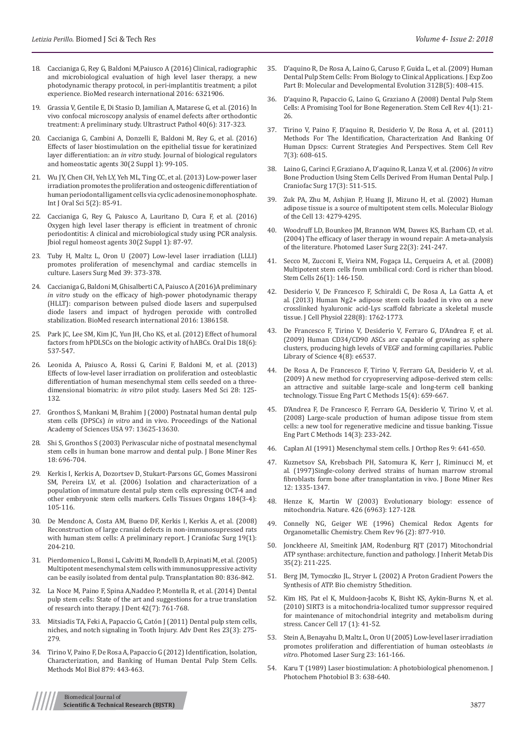- 18. [Caccianiga G, Rey G, Baldoni M,Paiusco A \(2016\) Clinical, radiographic](https://www.hindawi.com/journals/bmri/2016/6321906/)  [and microbiological evaluation of high level laser therapy, a new](https://www.hindawi.com/journals/bmri/2016/6321906/)  [photodynamic therapy protocol, in peri-implantitis treatment; a pilot](https://www.hindawi.com/journals/bmri/2016/6321906/)  [experience. BioMed research international 2016: 6321906.](https://www.hindawi.com/journals/bmri/2016/6321906/)
- 19. [Grassia V, Gentile E, Di Stasio D, Jamilian A, Matarese G, et al. \(2016\) In](https://www.ncbi.nlm.nih.gov/pubmed/27736278)  [vivo confocal microscopy analysis of enamel defects after orthodontic](https://www.ncbi.nlm.nih.gov/pubmed/27736278)  [treatment: A preliminary study. Ultrastruct Pathol 40\(6\): 317-323.](https://www.ncbi.nlm.nih.gov/pubmed/27736278)
- 20. [Caccianiga G, Cambini A, Donzelli E, Baldoni M, Rey G, et al. \(2016\)](https://www.ncbi.nlm.nih.gov/pubmed/27469555)  [Effects of laser biostimulation on the epithelial tissue for keratinized](https://www.ncbi.nlm.nih.gov/pubmed/27469555)  layer differentiation: an *in vitro* [study. Journal of biological regulators](https://www.ncbi.nlm.nih.gov/pubmed/27469555)  [and homeostatic agents 30\(2 Suppl 1\): 99-105.](https://www.ncbi.nlm.nih.gov/pubmed/27469555)
- 21. [Wu JY, Chen CH, Yeh LY, Yeh ML, Ting CC, et al. \(2013\) Low-power laser](https://www.ncbi.nlm.nih.gov/pubmed/23788285)  [irradiation promotes the proliferation and osteogenic differentiation of](https://www.ncbi.nlm.nih.gov/pubmed/23788285)  [human periodontal ligament cells via cyclic adenosine monophosphate.](https://www.ncbi.nlm.nih.gov/pubmed/23788285)  [Int J Oral Sci 5\(2\): 85-91.](https://www.ncbi.nlm.nih.gov/pubmed/23788285)
- 22. [Caccianiga G, Rey G, Paiusco A, Lauritano D, Cura F, et al. \(2016\)](https://www.ncbi.nlm.nih.gov/pubmed/27469554)  [Oxygen high level laser therapy is efficient in treatment of chronic](https://www.ncbi.nlm.nih.gov/pubmed/27469554)  [periodontitis: A clinical and microbiological study using PCR analysis.](https://www.ncbi.nlm.nih.gov/pubmed/27469554)  [Jbiol regul homeost agents 30\(2 Suppl 1\): 87-97.](https://www.ncbi.nlm.nih.gov/pubmed/27469554)
- 23. [Tuby H, Maltz L, Oron U \(2007\) Low-level laser irradiation \(LLLI\)](https://www.ncbi.nlm.nih.gov/pubmed/17457844)  [promotes proliferation of mesenchymal and cardiac stemcells in](https://www.ncbi.nlm.nih.gov/pubmed/17457844)  [culture. Lasers Surg Med 39: 373-378.](https://www.ncbi.nlm.nih.gov/pubmed/17457844)
- 24. [Caccianiga G, Baldoni M, Ghisalberti C A, Paiusco A \(2016\)A preliminary](https://www.hindawi.com/journals/bmri/2016/1386158/)  *in vitro* [study on the efficacy of high-power photodynamic therapy](https://www.hindawi.com/journals/bmri/2016/1386158/)  [\(HLLT\): comparison between pulsed diode lasers and superpulsed](https://www.hindawi.com/journals/bmri/2016/1386158/)  [diode lasers and impact of hydrogen peroxide with controlled](https://www.hindawi.com/journals/bmri/2016/1386158/)  [stabilization. BioMed research international 2016: 1386158.](https://www.hindawi.com/journals/bmri/2016/1386158/)
- 25. [Park JC, Lee SM, Kim JC, Yun JH, Cho KS, et al. \(2012\) Effect of humoral](https://www.ncbi.nlm.nih.gov/pubmed/22292456)  [factors from hPDLSCs on the biologic activity of hABCs. Oral Dis 18\(6\):](https://www.ncbi.nlm.nih.gov/pubmed/22292456)  [537-547.](https://www.ncbi.nlm.nih.gov/pubmed/22292456)
- 26. Leonida A, Paiusco A, Rossi G, Carini F, Baldoni M, et al. (2013) Effects of low-level laser irradiation on proliferation and osteoblastic differentiation of human mesenchymal stem cells seeded on a threedimensional biomatrix: *in vitro* pilot study. Lasers Med Sci 28: 125- 132.
- 27. [Gronthos S, Mankani M, Brahim J \(2000\) Postnatal human dental pulp](https://www.ncbi.nlm.nih.gov/pubmed/11087820)  stem cells (DPSCs) *in vitro* [and in vivo. Proceedings of the National](https://www.ncbi.nlm.nih.gov/pubmed/11087820)  [Academy of Sciences USA 97: 13625-13630.](https://www.ncbi.nlm.nih.gov/pubmed/11087820)
- 28. [Shi S, Gronthos S \(2003\) Perivascular niche of postnatal mesenchymal](https://www.ncbi.nlm.nih.gov/pubmed/12674330)  [stem cells in human bone marrow and dental pulp. J Bone Miner Res](https://www.ncbi.nlm.nih.gov/pubmed/12674330)  [18: 696-704.](https://www.ncbi.nlm.nih.gov/pubmed/12674330)
- 29. [Kerkis I, Kerkis A, Dozortsev D, Stukart-Parsons GC, Gomes Massironi](https://www.karger.com/Article/Abstract/99617)  [SM, Pereira LV, et al. \(2006\) Isolation and characterization of a](https://www.karger.com/Article/Abstract/99617)  [population of immature dental pulp stem cells expressing OCT-4 and](https://www.karger.com/Article/Abstract/99617)  [other embryonic stem cells markers. Cells Tissues Organs 184\(3-4\):](https://www.karger.com/Article/Abstract/99617)  [105-116.](https://www.karger.com/Article/Abstract/99617)
- 30. [De Mendonc A, Costa AM, Bueno DF, Kerkis I, Kerkis A, et al. \(2008\)](https://www.ncbi.nlm.nih.gov/pubmed/18216690)  [Reconstruction of large cranial defects in non-immunosupressed rats](https://www.ncbi.nlm.nih.gov/pubmed/18216690)  with human stem cells: A preliminary report. J Craniofac Surg 19(1): [204-210.](https://www.ncbi.nlm.nih.gov/pubmed/18216690)
- 31. [Pierdomenico L, Bonsi L, Calvitti M, Rondelli D, Arpinati M, et al. \(2005\)](https://www.ncbi.nlm.nih.gov/pubmed/16210973)  [Multipotent mesenchymal stem cells with immunosuppressive activity](https://www.ncbi.nlm.nih.gov/pubmed/16210973)  [can be easily isolated from dental pulp. Transplantation 80: 836-842.](https://www.ncbi.nlm.nih.gov/pubmed/16210973)
- 32. [La Noce M, Paino F, Spina A,Naddeo P, Montella R, et al. \(2014\) Dental](https://www.ncbi.nlm.nih.gov/pubmed/24589847)  [pulp stem cells: State of the art and suggestions for a true translation](https://www.ncbi.nlm.nih.gov/pubmed/24589847)  [of research into therapy. J Dent 42\(7\): 761-768.](https://www.ncbi.nlm.nih.gov/pubmed/24589847)
- 33. [Mitsiadis TA, Feki A, Papaccio G, Catón J \(2011\) Dental pulp stem cells,](https://www.ncbi.nlm.nih.gov/pubmed/21677078)  [niches, and notch signaling in Tooth Injury. Adv Dent Res 23\(3\): 275-](https://www.ncbi.nlm.nih.gov/pubmed/21677078) [279.](https://www.ncbi.nlm.nih.gov/pubmed/21677078)
- 34. [Tirino V, Paino F, De Rosa A, Papaccio G \(2012\) Identification, Isolation,](https://www.ncbi.nlm.nih.gov/pubmed/22610575)  [Characterization, and Banking of Human Dental Pulp Stem Cells.](https://www.ncbi.nlm.nih.gov/pubmed/22610575)  [Methods Mol Biol 879: 443-463.](https://www.ncbi.nlm.nih.gov/pubmed/22610575)
- 35. [D'aquino R, De Rosa A, Laino G, Caruso F, Guida L, et al. \(2009\) Human](https://www.ncbi.nlm.nih.gov/pubmed/19065566) [Dental Pulp Stem Cells: From Biology to Clinical Applications. J Exp Zoo](https://www.ncbi.nlm.nih.gov/pubmed/19065566) [Part B: Molecular and Developmental Evolution 312B\(5\): 408-415.](https://www.ncbi.nlm.nih.gov/pubmed/19065566)
- 36. [D'aquino R, Papaccio G, Laino G, Graziano A \(2008\) Dental Pulp Stem](https://www.ncbi.nlm.nih.gov/pubmed/18300003) [Cells: A Promising Tool for Bone Regeneration. Stem Cell Rev 4\(1\): 21-](https://www.ncbi.nlm.nih.gov/pubmed/18300003) [26.](https://www.ncbi.nlm.nih.gov/pubmed/18300003)
- 37. [Tirino V, Paino F, D'aquino R, Desiderio V, De Rosa A, et al. \(2011\)](https://www.ncbi.nlm.nih.gov/pubmed/21318597) [Methods For The Identification, Characterization And Banking Of](https://www.ncbi.nlm.nih.gov/pubmed/21318597) [Human Dpscs: Current Strategies And Perspectives. Stem Cell Rev](https://www.ncbi.nlm.nih.gov/pubmed/21318597) [7\(3\): 608-615.](https://www.ncbi.nlm.nih.gov/pubmed/21318597)
- 38. [Laino G, Carinci F, Graziano A, D'aquino R, Lanza V, et al. \(2006\)](https://www.ncbi.nlm.nih.gov/pubmed/16770190) *In vitro* [Bone Production Using Stem Cells Derived From Human Dental Pulp. J](https://www.ncbi.nlm.nih.gov/pubmed/16770190) [Craniofac Surg 17\(3\): 511-515.](https://www.ncbi.nlm.nih.gov/pubmed/16770190)
- 39. [Zuk PA, Zhu M, Ashjian P, Huang JI, Mizuno H, et al. \(2002\) Human](https://www.ncbi.nlm.nih.gov/pubmed/12475952) [adipose tissue is a source of multipotent stem cells. Molecular Biology](https://www.ncbi.nlm.nih.gov/pubmed/12475952) [of the Cell 13: 4279-4295.](https://www.ncbi.nlm.nih.gov/pubmed/12475952)
- 40. [Woodruff LD, Bounkeo JM, Brannon WM, Dawes KS, Barham CD, et al.](https://www.ncbi.nlm.nih.gov/pubmed/15315732) [\(2004\) The efficacy of laser therapy in wound repair: A meta-analysis](https://www.ncbi.nlm.nih.gov/pubmed/15315732) [of the literature. Photomed Laser Surg 22\(3\): 241-247.](https://www.ncbi.nlm.nih.gov/pubmed/15315732)
- 41. [Secco M, Zucconi E, Vieira NM, Fogaça LL, Cerqueira A, et al. \(2008\)](https://www.ncbi.nlm.nih.gov/pubmed/17932423) [Multipotent stem cells from umbilical cord: Cord is richer than blood.](https://www.ncbi.nlm.nih.gov/pubmed/17932423) [Stem Cells 26\(1\): 146-150.](https://www.ncbi.nlm.nih.gov/pubmed/17932423)
- 42. [Desiderio V, De Francesco F, Schiraldi C, De Rosa A, La Gatta A, et](https://www.ncbi.nlm.nih.gov/pubmed/23359523) [al. \(2013\) Human Ng2+ adipose stem cells loaded in vivo on a new](https://www.ncbi.nlm.nih.gov/pubmed/23359523) [crosslinked hyaluronic acid-Lys scaffold fabricate a skeletal muscle](https://www.ncbi.nlm.nih.gov/pubmed/23359523) [tissue. J Cell Physiol 228\(8\): 1762-1773.](https://www.ncbi.nlm.nih.gov/pubmed/23359523)
- 43. [De Francesco F, Tirino V, Desiderio V, Ferraro G, D'Andrea F, et al.](https://www.ncbi.nlm.nih.gov/pubmed/19657392) [\(2009\) Human CD34/CD90 ASCs are capable of growing as sphere](https://www.ncbi.nlm.nih.gov/pubmed/19657392) [clusters, producing high levels of VEGF and forming capillaries. Public](https://www.ncbi.nlm.nih.gov/pubmed/19657392) [Library of Science 4\(8\): e6537.](https://www.ncbi.nlm.nih.gov/pubmed/19657392)
- [De Rosa A, De Francesco F, Tirino V, Ferraro GA, Desiderio V, et al.](https://www.ncbi.nlm.nih.gov/pubmed/19254116) [\(2009\) A new method for cryopreserving adipose-derived stem cells:](https://www.ncbi.nlm.nih.gov/pubmed/19254116) [an attractive and suitable large-scale and long-term cell banking](https://www.ncbi.nlm.nih.gov/pubmed/19254116) [technology. Tissue Eng Part C Methods 15\(4\): 659-667.](https://www.ncbi.nlm.nih.gov/pubmed/19254116)
- 45. [D'Andrea F, De Francesco F, Ferraro GA, Desiderio V, Tirino V, et al.](https://www.ncbi.nlm.nih.gov/pubmed/18781836) [\(2008\) Large-scale production of human adipose tissue from stem](https://www.ncbi.nlm.nih.gov/pubmed/18781836) [cells: a new tool for regenerative medicine and tissue banking. Tissue](https://www.ncbi.nlm.nih.gov/pubmed/18781836) [Eng Part C Methods 14\(3\): 233-242.](https://www.ncbi.nlm.nih.gov/pubmed/18781836)
- 46. Caplan AI (1991) Mesenchymal stem cells. J Orthop Res 9: 641-650.
- 47. [Kuznetsov SA, Krebsbach PH, Satomura K, Kerr J, Riminucci M, et](https://www.ncbi.nlm.nih.gov/pubmed/9286749) [al. \(1997\)Single-colony derived strains of human marrow stromal](https://www.ncbi.nlm.nih.gov/pubmed/9286749) [fibroblasts form bone after transplantation in vivo. J Bone Miner Res](https://www.ncbi.nlm.nih.gov/pubmed/9286749) [12: 1335-1347.](https://www.ncbi.nlm.nih.gov/pubmed/9286749)
- 48. [Henze K, Martin W \(2003\) Evolutionary biology: essence of](https://www.ncbi.nlm.nih.gov/pubmed/14614484) [mitochondria. Nature. 426 \(6963\): 127-128.](https://www.ncbi.nlm.nih.gov/pubmed/14614484)
- 49. [Connelly NG, Geiger WE \(1996\) Chemical Redox Agents for](https://pubs.acs.org/doi/abs/10.1021/cr940053x) [Organometallic Chemistry. Chem Rev 96 \(2\): 877-910.](https://pubs.acs.org/doi/abs/10.1021/cr940053x)
- 50. [Jonckheere AI, Smeitink JAM, Rodenburg RJT \(2017\) Mitochondrial](https://www.ncbi.nlm.nih.gov/pubmed/21874297) [ATP synthase: architecture, function and pathology. J Inherit Metab Dis](https://www.ncbi.nlm.nih.gov/pubmed/21874297) [35\(2\): 211-225.](https://www.ncbi.nlm.nih.gov/pubmed/21874297)
- 51. [Berg JM, Tymoczko JL, Stryer L \(2002\) A Proton Gradient Powers the](https://www.ncbi.nlm.nih.gov/books/NBK22388/) [Synthesis of ATP. Bio chemistry 5thedition.](https://www.ncbi.nlm.nih.gov/books/NBK22388/)
- 52. [Kim HS, Pat el K, Muldoon-Jacobs K, Bisht KS, Aykin-Burns N, et al.](https://www.ncbi.nlm.nih.gov/pubmed/20129246) [\(2010\) SIRT3 is a mitochondria-localized tumor suppressor required](https://www.ncbi.nlm.nih.gov/pubmed/20129246) [for maintenance of mitochondrial integrity and metabolism during](https://www.ncbi.nlm.nih.gov/pubmed/20129246) [stress. Cancer Cell 17 \(1\): 41-52.](https://www.ncbi.nlm.nih.gov/pubmed/20129246)
- 53. [Stein A, Benayahu D, Maltz L, Oron U \(2005\) Low-level laser irradiation](https://www.ncbi.nlm.nih.gov/pubmed/15910179) [promotes proliferation and differentiation of human osteoblasts](https://www.ncbi.nlm.nih.gov/pubmed/15910179) *in vitro*[. Photomed Laser Surg 23: 161-166.](https://www.ncbi.nlm.nih.gov/pubmed/15910179)
- 54. Karu T [\(1989\) Laser biostimulation: A photobiological phenomenon. J](https://www.ncbi.nlm.nih.gov/pubmed/2507763) [Photochem Photobiol B 3: 638-640.](https://www.ncbi.nlm.nih.gov/pubmed/2507763)

Biomedical Journal of **Scientific & Technical Research (BJSTR)** 3877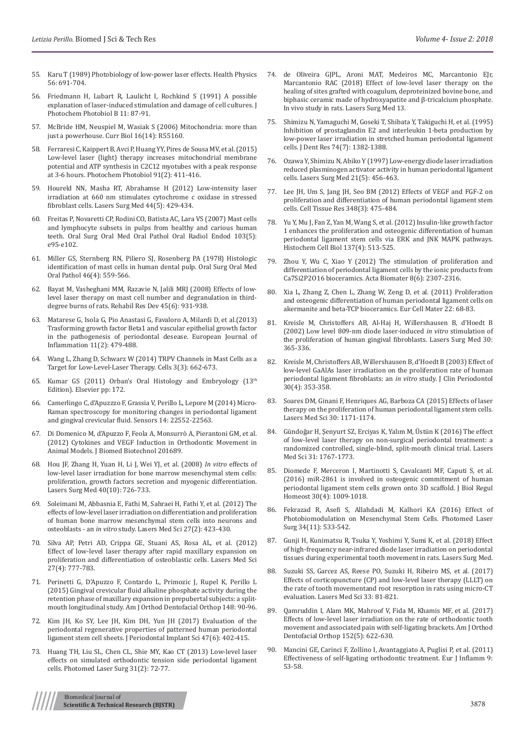- 55. Karu [T \(1989\) Photobiology of low-power laser effects. Health Physics](https://www.ncbi.nlm.nih.gov/pubmed/2651364)  [56: 691-704.](https://www.ncbi.nlm.nih.gov/pubmed/2651364)
- 56. Friedmann H, Lubart R, Laulicht I, Rochkind S [\(1991\) A possible](https://www.ncbi.nlm.nih.gov/pubmed/1791497)  [explanation of laser-induced stimulation and damage of cell cultures. J](https://www.ncbi.nlm.nih.gov/pubmed/1791497)  [Photochem Photobiol B 11: 87-91.](https://www.ncbi.nlm.nih.gov/pubmed/1791497)
- 57. [McBride HM, Neuspiel M, Wasiak S \(2006\) Mitochondria: more than](https://www.ncbi.nlm.nih.gov/pubmed/16860735)  [just a powerhouse. Curr Biol 16\(14\): R55160.](https://www.ncbi.nlm.nih.gov/pubmed/16860735)
- 58. [Ferraresi C, Kaippert B, Avci P, Huang YY, Pires de Sousa MV, et al. \(2015\)](https://www.ncbi.nlm.nih.gov/pubmed/25443662)  [Low-level laser \(light\) therapy increases mitochondrial membrane](https://www.ncbi.nlm.nih.gov/pubmed/25443662)  [potential and ATP synthesis in C2C12 myotubes with a peak response](https://www.ncbi.nlm.nih.gov/pubmed/25443662)  [at 3-6 hours. Photochem Photobiol 91\(2\): 411-416.](https://www.ncbi.nlm.nih.gov/pubmed/25443662)
- 59. [Houreld NN, Masha RT, Abrahamse H \(2012\) Low-intensity laser](https://www.ncbi.nlm.nih.gov/pubmed/22488690)  [irradiation at 660 nm stimulates cytochrome c oxidase in stressed](https://www.ncbi.nlm.nih.gov/pubmed/22488690)  [fibroblast cells. Lasers Surg Med 44\(5\): 429-434.](https://www.ncbi.nlm.nih.gov/pubmed/22488690)
- 60. [Freitas P, Novaretti CP, Rodini CO, Batista AC, Lara VS \(2007\) Mast cells](https://www.ncbi.nlm.nih.gov/pubmed/17320429)  [and lymphocyte subsets in pulps from healthy and carious human](https://www.ncbi.nlm.nih.gov/pubmed/17320429)  [teeth. Oral Surg Oral Med Oral Pathol Oral Radiol Endod 103\(5\):](https://www.ncbi.nlm.nih.gov/pubmed/17320429)  [e95-e102.](https://www.ncbi.nlm.nih.gov/pubmed/17320429)
- 61. [Miller GS, Sternberg RN, Piliero SJ, Rosenberg PA \(1978\) Histologic](https://www.ncbi.nlm.nih.gov/pubmed/82244)  [identification of mast cells in human dental pulp. Oral Surg Oral Med](https://www.ncbi.nlm.nih.gov/pubmed/82244)  [Oral Pathol 46\(4\): 559-566.](https://www.ncbi.nlm.nih.gov/pubmed/82244)
- 62. [Bayat M, Vasheghani MM, Razavie N, Jalili MRJ \(2008\) Effects of low](https://www.ncbi.nlm.nih.gov/pubmed/19009479)[level laser therapy on mast cell number and degranulation in third](https://www.ncbi.nlm.nih.gov/pubmed/19009479)[degree burns of rats. Rehabil Res Dev 45\(6\): 931-938.](https://www.ncbi.nlm.nih.gov/pubmed/19009479)
- 63. Matarese G, Isola G, Pio Anastasi G, Favaloro A, Milardi D, et al.(2013) Trasforming growth factor Beta1 and vascular epithelial growth factor in the pathogenesis of periodontal desease. European Journal of Inflammation 11(2): 479-488.
- 64. [Wang L, Zhang D, Schwarz W \(2014\) TRPV Channels in Mast Cells as a](https://www.ncbi.nlm.nih.gov/pubmed/24971848)  [Target for Low-Level-Laser Therapy. Cells 3\(3\): 662-673.](https://www.ncbi.nlm.nih.gov/pubmed/24971848)
- 65. [Kumar GS \(2011\) Orban's Oral Histology and Embryology \(13th](https://www.elsevier.com/books/orbans-oral-histology-and-embryology/kumar/978-81-312-2819-7) [Edition\). Elsevier pp: 172.](https://www.elsevier.com/books/orbans-oral-histology-and-embryology/kumar/978-81-312-2819-7)
- 66. Camerlingo C, d'Apuzzzo F, Grassia V, Perillo L, Lepore [M \(2014\) Micro-](https://www.ncbi.nlm.nih.gov/pubmed/25436655)[Raman spectroscopy for monitoring changes in periodontal ligament](https://www.ncbi.nlm.nih.gov/pubmed/25436655)  [and gingival crevicular fluid. Sensors 14: 22552-22563.](https://www.ncbi.nlm.nih.gov/pubmed/25436655)
- 67. [Di Domenico M, d'Apuzzo F, Feola A, Monsurrò A, Pierantoni GM, et al.](https://www.hindawi.com/journals/bmri/2012/201689/)  [\(2012\) Cytokines and VEGF Induction in Orthodontic Movement in](https://www.hindawi.com/journals/bmri/2012/201689/)  [Animal Models. J Biomed Biotechnol 201689.](https://www.hindawi.com/journals/bmri/2012/201689/)
- 68. [Hou JF, Zhang H, Yuan H, Li J, Wei YJ, et al. \(2008\)](https://www.ncbi.nlm.nih.gov/pubmed/19065562) *In vitro* effects of [low-level laser irradiation for bone marrow mesenchymal stem cells:](https://www.ncbi.nlm.nih.gov/pubmed/19065562)  [proliferation, growth factors secretion and myogenic differentiation.](https://www.ncbi.nlm.nih.gov/pubmed/19065562)  [Lasers Surg Med 40\(10\): 726-733.](https://www.ncbi.nlm.nih.gov/pubmed/19065562)
- 69. [Soleimani M, Abbasnia E, Fathi M, Sahraei H, Fathi Y, et al. \(2012\) The](https://www.ncbi.nlm.nih.gov/pubmed/21597948)  [effects of low-level laser irradiation on differentiation and proliferation](https://www.ncbi.nlm.nih.gov/pubmed/21597948)  [of human bone marrow mesenchymal stem cells into neurons and](https://www.ncbi.nlm.nih.gov/pubmed/21597948)  osteoblasts - an *in vitro* [study. Lasers Med Sci 27\(2\): 423-430.](https://www.ncbi.nlm.nih.gov/pubmed/21597948)
- 70. [Silva AP, Petri AD, Crippa GE, Stuani AS, Rosa AL, et al. \(2012\)](https://www.ncbi.nlm.nih.gov/pubmed/21842225)  [Effect of low-level laser therapy after rapid maxillary expansion on](https://www.ncbi.nlm.nih.gov/pubmed/21842225)  [proliferation and differentiation of osteoblastic cells. Lasers Med Sci](https://www.ncbi.nlm.nih.gov/pubmed/21842225)  [27\(4\): 777-783.](https://www.ncbi.nlm.nih.gov/pubmed/21842225)
- 71. Perinetti G, D'Apuzzo F, Contardo L, Primozic J, Rupel K, Perillo L [\(2015\) Gingival crevicular fluid alkaline phosphate activity during the](https://www.ncbi.nlm.nih.gov/pubmed/26124032)  [retention phase of maxillary expansion in prepubertal subjects: a split](https://www.ncbi.nlm.nih.gov/pubmed/26124032)[mouth longitudinal study. Am J Orthod Dentofacial Orthop 148: 90-96.](https://www.ncbi.nlm.nih.gov/pubmed/26124032)
- 72. [Kim JH, Ko SY, Lee JH, Kim DH, Yun JH \(2017\) Evaluation of the](https://www.ncbi.nlm.nih.gov/pubmed/29333326)  [periodontal regenerative properties of patterned human periodontal](https://www.ncbi.nlm.nih.gov/pubmed/29333326)  [ligament stem cell sheets. J Periodontal Implant Sci 47\(6\): 402-415.](https://www.ncbi.nlm.nih.gov/pubmed/29333326)
- 73. [Huang TH, Liu SL, Chen CL, Shie MY, Kao CT \(2013\) Low-level laser](https://www.ncbi.nlm.nih.gov/pmc/articles/PMC3565557/)  [effects on simulated orthodontic tension side periodontal ligament](https://www.ncbi.nlm.nih.gov/pmc/articles/PMC3565557/)  [cells. Photomed Laser Surg 31\(2\): 72-77.](https://www.ncbi.nlm.nih.gov/pmc/articles/PMC3565557/)
- 74. [de Oliveira GJPL, Aroni MAT, Medeiros MC, Marcantonio EJr,](https://www.ncbi.nlm.nih.gov/pubmed/29331041) [Marcantonio RAC \(2018\) Effect of low-level laser therapy on the](https://www.ncbi.nlm.nih.gov/pubmed/29331041) [healing of sites grafted with coagulum, deproteinized bovine bone, and](https://www.ncbi.nlm.nih.gov/pubmed/29331041) [biphasic ceramic made of hydroxyapatite and β-tricalcium phosphate.](https://www.ncbi.nlm.nih.gov/pubmed/29331041) [In vivo study in rats. Lasers Surg Med 13.](https://www.ncbi.nlm.nih.gov/pubmed/29331041)
- 75. [Shimizu N, Yamaguchi M, Goseki T, Shibata Y, Takiguchi H, et al. \(1995\)](https://www.ncbi.nlm.nih.gov/pubmed/7560389) [Inhibition of prostaglandin E2 and interleukin 1-beta production by](https://www.ncbi.nlm.nih.gov/pubmed/7560389) [low-power laser irradiation in stretched human periodontal ligament](https://www.ncbi.nlm.nih.gov/pubmed/7560389) [cells. J Dent Res 74\(7\): 1382-1388.](https://www.ncbi.nlm.nih.gov/pubmed/7560389)
- 76. [Ozawa Y, Shimizu N, Abiko Y \(1997\) Low-energy diode laser irradiation](https://www.ncbi.nlm.nih.gov/pubmed/9365956) [reduced plasminogen activator activity in human periodontal ligament](https://www.ncbi.nlm.nih.gov/pubmed/9365956) [cells. Lasers Surg Med 21\(5\): 456-463.](https://www.ncbi.nlm.nih.gov/pubmed/9365956)
- 77. [Lee JH, Um S, Jang JH, Seo BM \(2012\) Effects of VEGF and FGF-2 on](https://www.ncbi.nlm.nih.gov/pubmed/22437875) [proliferation and differentiation of human periodontal ligament stem](https://www.ncbi.nlm.nih.gov/pubmed/22437875) [cells. Cell Tissue Res 348\(3\): 475-484.](https://www.ncbi.nlm.nih.gov/pubmed/22437875)
- 78. [Yu Y, Mu J, Fan Z, Yan M, Wang S, et al. \(2012\) Insulin-like growth factor](https://www.ncbi.nlm.nih.gov/pubmed/22227802) [1 enhances the proliferation and osteogenic differentiation of human](https://www.ncbi.nlm.nih.gov/pubmed/22227802) [periodontal ligament stem cells via ERK and JNK MAPK pathways.](https://www.ncbi.nlm.nih.gov/pubmed/22227802) [Histochem Cell Biol 137\(4\): 513-525.](https://www.ncbi.nlm.nih.gov/pubmed/22227802)
- 79. [Zhou Y, Wu C, Xiao Y \(2012\) The stimulation of proliferation and](https://www.ncbi.nlm.nih.gov/pubmed/22409874) [differentiation of periodontal ligament cells by the ionic products from](https://www.ncbi.nlm.nih.gov/pubmed/22409874) [Ca7Si2P2O16 bioceramics. Acta Biomater 8\(6\): 2307-2316.](https://www.ncbi.nlm.nih.gov/pubmed/22409874)
- 80. [Xia L, Zhang Z, Chen L, Zhang W, Zeng D, et al. \(2011\) Proliferation](https://www.ncbi.nlm.nih.gov/pubmed/21761393) [and osteogenic differentiation of human periodontal ligament cells on](https://www.ncbi.nlm.nih.gov/pubmed/21761393) [akermanite and beta-TCP bioceramics. Eur Cell Mater 22: 68-83.](https://www.ncbi.nlm.nih.gov/pubmed/21761393)
- 81. [Kreisle M, Christoffers AB, Al-Haj H, Willershausen B, d'Hoedt B](https://www.ncbi.nlm.nih.gov/pubmed/12116329) [\(2002\) Low level 809-nm diode laser-induced](https://www.ncbi.nlm.nih.gov/pubmed/12116329) *in vitro* stimulation of [the proliferation of human gingival fibroblasts. Lasers Surg Med 30:](https://www.ncbi.nlm.nih.gov/pubmed/12116329) [365-336.](https://www.ncbi.nlm.nih.gov/pubmed/12116329)
- 82. [Kreisle M, Christoffers AB, Willershausen B, d'Hoedt B \(2003\) Effect of](https://www.ncbi.nlm.nih.gov/pubmed/12694435) [low-level GaAlAs laser irradiation on the proliferation rate of human](https://www.ncbi.nlm.nih.gov/pubmed/12694435) [periodontal ligament fibroblasts: an](https://www.ncbi.nlm.nih.gov/pubmed/12694435) *in vitro* study. J Clin Periodontol [30\(4\): 353-358.](https://www.ncbi.nlm.nih.gov/pubmed/12694435)
- 83. [Soares DM, Ginani F, Henriques AG, Barboza CA \(2015\) Effects of laser](https://www.ncbi.nlm.nih.gov/pubmed/24013624) [therapy on the proliferation of human periodontal ligament stem cells.](https://www.ncbi.nlm.nih.gov/pubmed/24013624) [Lasers Med Sci 30: 1171-1174.](https://www.ncbi.nlm.nih.gov/pubmed/24013624)
- 84. [Gündoğar H, Şenyurt SZ, Erciyas K, Yalım M, Üstün K \(2016\) The effect](https://www.ncbi.nlm.nih.gov/pubmed/27523046) [of low-level laser therapy on non-surgical periodontal treatment: a](https://www.ncbi.nlm.nih.gov/pubmed/27523046) [randomized controlled, single-blind, split-mouth clinical trial. Lasers](https://www.ncbi.nlm.nih.gov/pubmed/27523046) [Med Sci 31: 1767-1773.](https://www.ncbi.nlm.nih.gov/pubmed/27523046)
- 85. [Diomede F, Merceron I, Martinotti S, Cavalcanti MF, Caputi S, et al.](https://www.ncbi.nlm.nih.gov/pubmed/27848246) [\(2016\) miR-2861 is involved in osteogenic commitment of human](https://www.ncbi.nlm.nih.gov/pubmed/27848246) [periodontal ligament stem cells grown onto 3D scaffold. J Biol Regul](https://www.ncbi.nlm.nih.gov/pubmed/27848246) [Homeost 30\(4\): 1009-1018.](https://www.ncbi.nlm.nih.gov/pubmed/27848246)
- 86. [Fekrazad R, Asefi S, Allahdadi M, Kalhori KA \(2016\) Effect of](https://www.ncbi.nlm.nih.gov/pubmed/27070113) [Photobiomodulation on Mesenchymal Stem Cells. Photomed Laser](https://www.ncbi.nlm.nih.gov/pubmed/27070113) [Surg 34\(11\): 533-542.](https://www.ncbi.nlm.nih.gov/pubmed/27070113)
- 87. [Gunji H, Kunimatsu R, Tsuka Y, Yoshimi Y, Sumi K, et al. \(2018\) Effect](https://www.ncbi.nlm.nih.gov/pubmed/29399884) [of high-frequency near-infrared diode laser irradiation on periodontal](https://www.ncbi.nlm.nih.gov/pubmed/29399884) [tissues during experimental tooth movement in rats. Lasers Surg Med.](https://www.ncbi.nlm.nih.gov/pubmed/29399884)
- 88. [Suzuki SS, Garcez AS, Reese PO, Suzuki H, Ribeiro MS, et al. \(2017\)](https://www.ncbi.nlm.nih.gov/pubmed/29282560) [Effects of corticopuncture \(CP\) and low-level laser therapy \(LLLT\) on](https://www.ncbi.nlm.nih.gov/pubmed/29282560) [the rate of tooth movementand root resorption in rats using micro-CT](https://www.ncbi.nlm.nih.gov/pubmed/29282560) [evaluation. Lasers Med Sci 33: 81-821.](https://www.ncbi.nlm.nih.gov/pubmed/29282560)
- 89. [Qamruddin I, Alam MK, Mahroof V, Fida M, Khamis MF, et al. \(2017\)](https://www.ncbi.nlm.nih.gov/pubmed/29103440) [Effects of low-level laser irradiation on the rate of orthodontic tooth](https://www.ncbi.nlm.nih.gov/pubmed/29103440) [movement and associated pain with self-ligating brackets. Am J Orthod](https://www.ncbi.nlm.nih.gov/pubmed/29103440) [Dentofacial Orthop 152\(5\): 622-630.](https://www.ncbi.nlm.nih.gov/pubmed/29103440)
- 90. Mancini GE, Carinci F, Zollino I, Avantaggiato A, Puglisi P, et al. (2011) Effectiveness of self-ligating orthodontic treatment. Eur J Inflamm 9: 53-58.

Biomedical Journal of **Scientific & Technical Research (BJSTR)** 3878